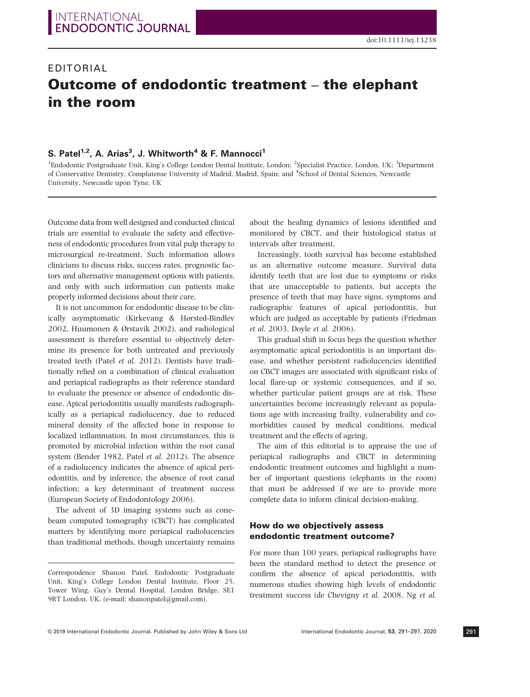# EDITORIAL Outcome of endodontic treatment – the elephant in the room

## S. Patel<sup>1,2</sup>, A. Arias<sup>3</sup>, J. Whitworth<sup>4</sup> & F. Mannocci<sup>1</sup>

<sup>1</sup>Endodontic Postgraduate Unit, King's College London Dental Institute, London; <sup>2</sup>Specialist Practice, London, UK; <sup>3</sup>Department of Conservative Dentistry, Complutense University of Madrid, Madrid, Spain; and <sup>4</sup>School of Dental Sciences, Newcastle University, Newcastle upon Tyne, UK

Outcome data from well designed and conducted clinical trials are essential to evaluate the safety and effectiveness of endodontic procedures from vital pulp therapy to microsurgical re-treatment. Such information allows clinicians to discuss risks, success rates, prognostic factors and alternative management options with patients, and only with such information can patients make properly informed decisions about their care.

It is not uncommon for endodontic disease to be clinically asymptomatic (Kirkevang & Hørsted-Bindlev 2002, Huumonen & Ørstavik 2002), and radiological assessment is therefore essential to objectively determine its presence for both untreated and previously treated teeth (Patel et al. 2012). Dentists have traditionally relied on a combination of clinical evaluation and periapical radiographs as their reference standard to evaluate the presence or absence of endodontic disease. Apical periodontitis usually manifests radiographically as a periapical radiolucency, due to reduced mineral density of the affected bone in response to localized inflammation. In most circumstances, this is promoted by microbial infection within the root canal system (Bender 1982, Patel et al. 2012). The absence of a radiolucency indicates the absence of apical periodontitis, and by inference, the absence of root canal infection; a key determinant of treatment success (European Society of Endodontology 2006).

The advent of 3D imaging systems such as conebeam computed tomography (CBCT) has complicated matters by identifying more periapical radiolucencies than traditional methods, though uncertainty remains about the healing dynamics of lesions identified and monitored by CBCT, and their histological status at intervals after treatment.

Increasingly, tooth survival has become established as an alternative outcome measure. Survival data identify teeth that are lost due to symptoms or risks that are unacceptable to patients, but accepts the presence of teeth that may have signs, symptoms and radiographic features of apical periodontitis, but which are judged as acceptable by patients (Friedman et al. 2003, Doyle et al. 2006).

This gradual shift in focus begs the question whether asymptomatic apical periodontitis is an important disease, and whether persistent radiolucencies identified on CBCT images are associated with significant risks of local flare-up or systemic consequences, and if so, whether particular patient groups are at risk. These uncertainties become increasingly relevant as populations age with increasing frailty, vulnerability and comorbidities caused by medical conditions, medical treatment and the effects of ageing.

The aim of this editorial is to appraise the use of periapical radiographs and CBCT in determining endodontic treatment outcomes and highlight a number of important questions (elephants in the room) that must be addressed if we are to provide more complete data to inform clinical decision-making.

## How do we objectively assess endodontic treatment outcome?

For more than 100 years, periapical radiographs have been the standard method to detect the presence or confirm the absence of apical periodontitis, with numerous studies showing high levels of endodontic treatment success (de Chevigny et al. 2008, Ng et al.

Correspondence Shanon Patel, Endodontic Postgraduate Unit, King's College London Dental Institute, Floor 25, Tower Wing, Guy's Dental Hospital, London Bridge, SE1 9RT London, UK. (e-mail: [shanonpatel@gmail.com](mailto:)).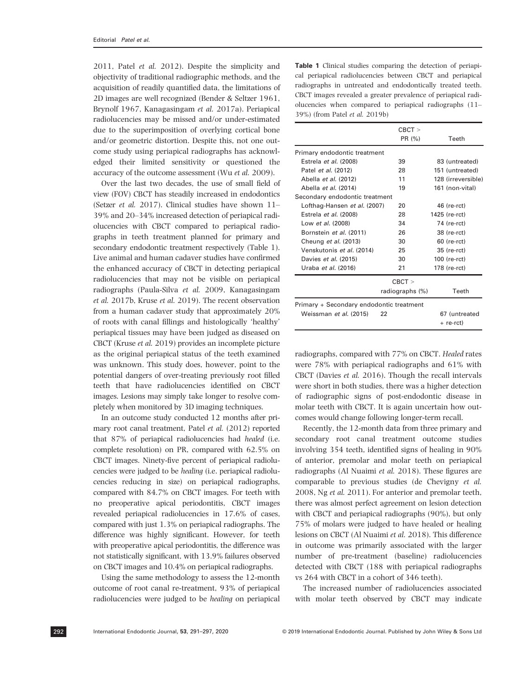2011, Patel et al. 2012). Despite the simplicity and objectivity of traditional radiographic methods, and the acquisition of readily quantified data, the limitations of 2D images are well recognized (Bender & Seltzer 1961, Brynolf 1967, Kanagasingam et al. 2017a). Periapical radiolucencies may be missed and/or under-estimated due to the superimposition of overlying cortical bone and/or geometric distortion. Despite this, not one outcome study using periapical radiographs has acknowledged their limited sensitivity or questioned the accuracy of the outcome assessment (Wu et al. 2009).

Over the last two decades, the use of small field of view (FOV) CBCT has steadily increased in endodontics (Setzer et al. 2017). Clinical studies have shown 11– 39% and 20–34% increased detection of periapical radiolucencies with CBCT compared to periapical radiographs in teeth treatment planned for primary and secondary endodontic treatment respectively (Table 1). Live animal and human cadaver studies have confirmed the enhanced accuracy of CBCT in detecting periapical radiolucencies that may not be visible on periapical radiographs (Paula-Silva et al. 2009, Kanagasingam et al. 2017b, Kruse et al. 2019). The recent observation from a human cadaver study that approximately 20% of roots with canal fillings and histologically 'healthy' periapical tissues may have been judged as diseased on CBCT (Kruse et al. 2019) provides an incomplete picture as the original periapical status of the teeth examined was unknown. This study does, however, point to the potential dangers of over-treating previously root filled teeth that have radiolucencies identified on CBCT images. Lesions may simply take longer to resolve completely when monitored by 3D imaging techniques.

In an outcome study conducted 12 months after primary root canal treatment, Patel et al. (2012) reported that 87% of periapical radiolucencies had healed (i.e. complete resolution) on PR, compared with 62.5% on CBCT images. Ninety-five percent of periapical radiolucencies were judged to be healing (i.e. periapical radiolucencies reducing in size) on periapical radiographs, compared with 84.7% on CBCT images. For teeth with no preoperative apical periodontitis, CBCT images revealed periapical radiolucencies in 17.6% of cases, compared with just 1.3% on periapical radiographs. The difference was highly significant. However, for teeth with preoperative apical periodontitis, the difference was not statistically significant, with 13.9% failures observed on CBCT images and 10.4% on periapical radiographs.

Using the same methodology to assess the 12-month outcome of root canal re-treatment, 93% of periapical radiolucencies were judged to be healing on periapical Table 1 Clinical studies comparing the detection of periapical periapical radiolucencies between CBCT and periapical radiographs in untreated and endodontically treated teeth. CBCT images revealed a greater prevalence of periapical radiolucencies when compared to periapical radiographs (11– 39%) (from Patel et al. 2019b)

|                                          | $CBCT$ >        |                    |  |  |
|------------------------------------------|-----------------|--------------------|--|--|
|                                          | PR (%)          | Teeth              |  |  |
| Primary endodontic treatment             |                 |                    |  |  |
| Estrela et al. (2008)                    | 39              | 83 (untreated)     |  |  |
| Patel et al. (2012)                      | 28              | 151 (untreated)    |  |  |
| Abella et al. (2012)                     | 11              | 128 (irreversible) |  |  |
| Abella et al. (2014)                     | 19              | 161 (non-vital)    |  |  |
| Secondary endodontic treatment           |                 |                    |  |  |
| Lofthag-Hansen et al. (2007)             | 20              | 46 (re-rct)        |  |  |
| Estrela et al. (2008)                    | 28              | 1425 (re-rct)      |  |  |
| Low <i>et al.</i> (2008)                 | 34              | 74 (re-rct)        |  |  |
| Bornstein et al. (2011)                  | 26              | 38 (re-rct)        |  |  |
| Cheung et al. (2013)                     | 30              | $60$ (re-rct)      |  |  |
| Venskutonis et al. (2014)                | 25              | 35 (re-rct)        |  |  |
| Davies et al. (2015)                     | 30              | 100 (re-rct)       |  |  |
| Uraba et al. (2016)                      | 21              | 178 (re-rct)       |  |  |
|                                          | $CBCT$ >        |                    |  |  |
|                                          | radiographs (%) | Teeth              |  |  |
| Primary + Secondary endodontic treatment |                 |                    |  |  |
| Weissman et al. (2015)                   | 22              | 67 (untreated      |  |  |
|                                          |                 | + re-rct)          |  |  |

radiographs, compared with 77% on CBCT. Healed rates were 78% with periapical radiographs and 61% with CBCT (Davies et al. 2016). Though the recall intervals were short in both studies, there was a higher detection of radiographic signs of post-endodontic disease in molar teeth with CBCT. It is again uncertain how outcomes would change following longer-term recall.

Recently, the 12-month data from three primary and secondary root canal treatment outcome studies involving 354 teeth, identified signs of healing in 90% of anterior, premolar and molar teeth on periapical radiographs (Al Nuaimi et al. 2018). These figures are comparable to previous studies (de Chevigny et al. 2008, Ng et al. 2011). For anterior and premolar teeth, there was almost perfect agreement on lesion detection with CBCT and periapical radiographs (90%), but only 75% of molars were judged to have healed or healing lesions on CBCT (Al Nuaimi et al. 2018). This difference in outcome was primarily associated with the larger number of pre-treatment (baseline) radiolucencies detected with CBCT (188 with periapical radiographs vs 264 with CBCT in a cohort of 346 teeth).

The increased number of radiolucencies associated with molar teeth observed by CBCT may indicate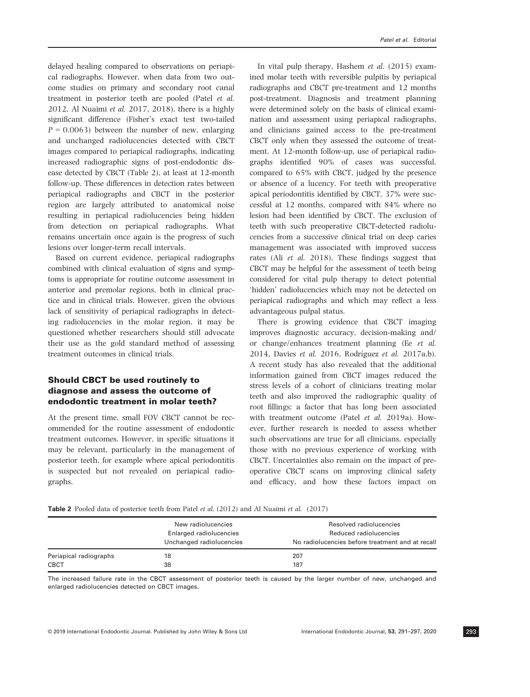delayed healing compared to observations on periapical radiographs. However, when data from two outcome studies on primary and secondary root canal treatment in posterior teeth are pooled (Patel et al. 2012, Al Nuaimi et al. 2017, 2018), there is a highly significant difference (Fisher's exact test two-tailed  $P = 0.0063$ ) between the number of new, enlarging and unchanged radiolucencies detected with CBCT images compared to periapical radiographs, indicating increased radiographic signs of post-endodontic disease detected by CBCT (Table 2), at least at 12-month follow-up. These differences in detection rates between periapical radiographs and CBCT in the posterior region are largely attributed to anatomical noise resulting in periapical radiolucencies being hidden from detection on periapical radiographs. What remains uncertain once again is the progress of such lesions over longer-term recall intervals.

Based on current evidence, periapical radiographs combined with clinical evaluation of signs and symptoms is appropriate for routine outcome assessment in anterior and premolar regions, both in clinical practice and in clinical trials. However, given the obvious lack of sensitivity of periapical radiographs in detecting radiolucencies in the molar region, it may be questioned whether researchers should still advocate their use as the gold standard method of assessing treatment outcomes in clinical trials.

## Should CBCT be used routinely to diagnose and assess the outcome of endodontic treatment in molar teeth?

At the present time, small FOV CBCT cannot be recommended for the routine assessment of endodontic treatment outcomes. However, in specific situations it may be relevant, particularly in the management of posterior teeth, for example where apical periodontitis is suspected but not revealed on periapical radiographs.

In vital pulp therapy, Hashem et al. (2015) examined molar teeth with reversible pulpitis by periapical radiographs and CBCT pre-treatment and 12 months post-treatment. Diagnosis and treatment planning were determined solely on the basis of clinical examination and assessment using periapical radiographs, and clinicians gained access to the pre-treatment CBCT only when they assessed the outcome of treatment. At 12-month follow-up, use of periapical radiographs identified 90% of cases was successful, compared to 65% with CBCT, judged by the presence or absence of a lucency. For teeth with preoperative apical periodontitis identified by CBCT, 37% were successful at 12 months, compared with 84% where no lesion had been identified by CBCT. The exclusion of teeth with such preoperative CBCT-detected radiolucencies from a successive clinical trial on deep caries management was associated with improved success rates (Ali et al. 2018). These findings suggest that CBCT may be helpful for the assessment of teeth being considered for vital pulp therapy to detect potential 'hidden' radiolucencies which may not be detected on periapical radiographs and which may reflect a less advantageous pulpal status.

There is growing evidence that CBCT imaging improves diagnostic accuracy, decision-making and/ or change/enhances treatment planning (Ee et al. 2014, Davies et al. 2016, Rodríguez et al. 2017a,b). A recent study has also revealed that the additional information gained from CBCT images reduced the stress levels of a cohort of clinicians treating molar teeth and also improved the radiographic quality of root fillings; a factor that has long been associated with treatment outcome (Patel et al. 2019a). However, further research is needed to assess whether such observations are true for all clinicians, especially those with no previous experience of working with CBCT. Uncertainties also remain on the impact of preoperative CBCT scans on improving clinical safety and efficacy, and how these factors impact on

Table 2 Pooled data of posterior teeth from Patel et al. (2012) and Al Nuaimi et al. (2017)

|                        | New radiolucencies<br>Enlarged radiolucencies<br>Unchanged radiolucencies | Resolved radiolucencies<br>Reduced radiolucencies<br>No radiolucencies before treatment and at recall |
|------------------------|---------------------------------------------------------------------------|-------------------------------------------------------------------------------------------------------|
| Periapical radiographs | 18                                                                        | 207                                                                                                   |
| <b>CBCT</b>            | 38                                                                        | 187                                                                                                   |

The increased failure rate in the CBCT assessment of posterior teeth is caused by the larger number of new, unchanged and enlarged radiolucencies detected on CBCT images.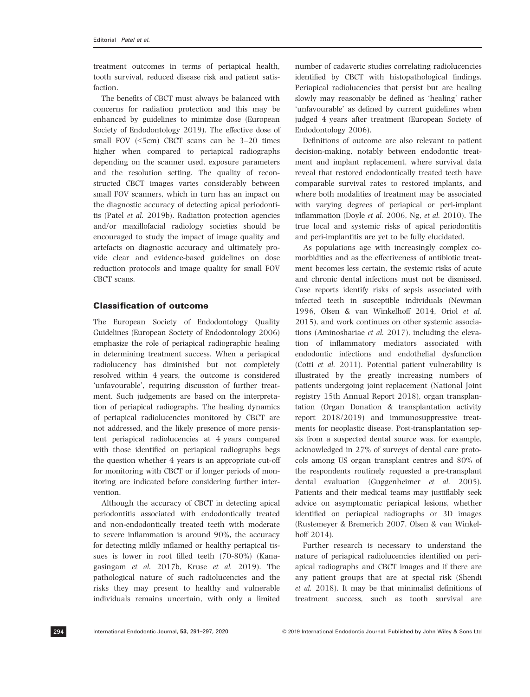treatment outcomes in terms of periapical health, tooth survival, reduced disease risk and patient satisfaction.

The benefits of CBCT must always be balanced with concerns for radiation protection and this may be enhanced by guidelines to minimize dose (European Society of Endodontology 2019). The effective dose of small FOV (<5cm) CBCT scans can be 3-20 times higher when compared to periapical radiographs depending on the scanner used, exposure parameters and the resolution setting. The quality of reconstructed CBCT images varies considerably between small FOV scanners, which in turn has an impact on the diagnostic accuracy of detecting apical periodontitis (Patel et al. 2019b). Radiation protection agencies and/or maxillofacial radiology societies should be encouraged to study the impact of image quality and artefacts on diagnostic accuracy and ultimately provide clear and evidence-based guidelines on dose reduction protocols and image quality for small FOV CBCT scans.

### Classification of outcome

The European Society of Endodontology Quality Guidelines (European Society of Endodontology 2006) emphasize the role of periapical radiographic healing in determining treatment success. When a periapical radiolucency has diminished but not completely resolved within 4 years, the outcome is considered 'unfavourable', requiring discussion of further treatment. Such judgements are based on the interpretation of periapical radiographs. The healing dynamics of periapical radiolucencies monitored by CBCT are not addressed, and the likely presence of more persistent periapical radiolucencies at 4 years compared with those identified on periapical radiographs begs the question whether 4 years is an appropriate cut-off for monitoring with CBCT or if longer periods of monitoring are indicated before considering further intervention.

Although the accuracy of CBCT in detecting apical periodontitis associated with endodontically treated and non-endodontically treated teeth with moderate to severe inflammation is around 90%, the accuracy for detecting mildly inflamed or healthy periapical tissues is lower in root filled teeth (70-80%) (Kanagasingam et al. 2017b, Kruse et al. 2019). The pathological nature of such radiolucencies and the risks they may present to healthy and vulnerable individuals remains uncertain, with only a limited number of cadaveric studies correlating radiolucencies identified by CBCT with histopathological findings. Periapical radiolucencies that persist but are healing slowly may reasonably be defined as 'healing' rather 'unfavourable' as defined by current guidelines when judged 4 years after treatment (European Society of Endodontology 2006).

Definitions of outcome are also relevant to patient decision-making, notably between endodontic treatment and implant replacement, where survival data reveal that restored endodontically treated teeth have comparable survival rates to restored implants, and where both modalities of treatment may be associated with varying degrees of periapical or peri-implant inflammation (Doyle et al. 2006, Ng, et al. 2010). The true local and systemic risks of apical periodontitis and peri-implantitis are yet to be fully elucidated.

As populations age with increasingly complex comorbidities and as the effectiveness of antibiotic treatment becomes less certain, the systemic risks of acute and chronic dental infections must not be dismissed. Case reports identify risks of sepsis associated with infected teeth in susceptible individuals (Newman 1996, Olsen & van Winkelhoff 2014, Oriol et al. 2015), and work continues on other systemic associations (Aminoshariae et al. 2017), including the elevation of inflammatory mediators associated with endodontic infections and endothelial dysfunction (Cotti et al. 2011). Potential patient vulnerability is illustrated by the greatly increasing numbers of patients undergoing joint replacement (National Joint registry 15th Annual Report 2018), organ transplantation (Organ Donation & transplantation activity report 2018/2019) and immunosuppressive treatments for neoplastic disease. Post-transplantation sepsis from a suspected dental source was, for example, acknowledged in 27% of surveys of dental care protocols among US organ transplant centres and 80% of the respondents routinely requested a pre-transplant dental evaluation (Guggenheimer et al. 2005). Patients and their medical teams may justifiably seek advice on asymptomatic periapical lesions, whether identified on periapical radiographs or 3D images (Rustemeyer & Bremerich 2007, Olsen & van Winkelhoff 2014).

Further research is necessary to understand the nature of periapical radiolucencies identified on periapical radiographs and CBCT images and if there are any patient groups that are at special risk (Shendi et al. 2018). It may be that minimalist definitions of treatment success, such as tooth survival are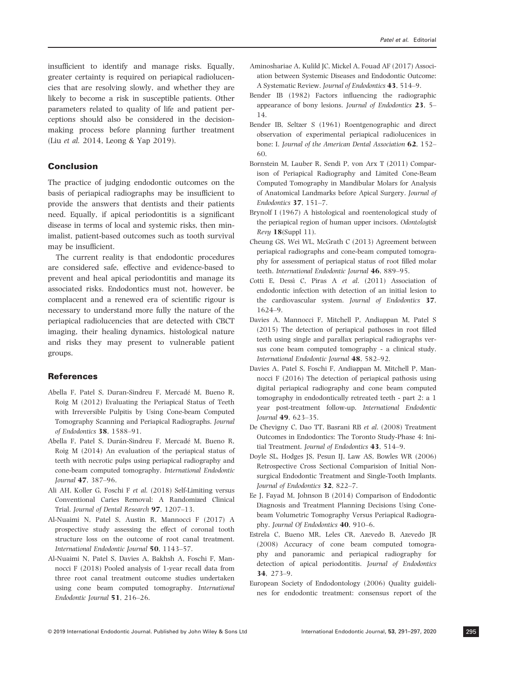insufficient to identify and manage risks. Equally, greater certainty is required on periapical radiolucencies that are resolving slowly, and whether they are likely to become a risk in susceptible patients. Other parameters related to quality of life and patient perceptions should also be considered in the decisionmaking process before planning further treatment (Liu et al. 2014, Leong & Yap 2019).

#### Conclusion

The practice of judging endodontic outcomes on the basis of periapical radiographs may be insufficient to provide the answers that dentists and their patients need. Equally, if apical periodontitis is a significant disease in terms of local and systemic risks, then minimalist, patient-based outcomes such as tooth survival may be insufficient.

The current reality is that endodontic procedures are considered safe, effective and evidence-based to prevent and heal apical periodontitis and manage its associated risks. Endodontics must not, however, be complacent and a renewed era of scientific rigour is necessary to understand more fully the nature of the periapical radiolucencies that are detected with CBCT imaging, their healing dynamics, histological nature and risks they may present to vulnerable patient groups.

#### References

- Abella F, Patel S, Duran-Sindreu F, Mercade M, Bueno R, Roig M (2012) Evaluating the Periapical Status of Teeth with Irreversible Pulpitis by Using Cone-beam Computed Tomography Scanning and Periapical Radiographs. Journal of Endodontics 38, 1588–91.
- Abella F, Patel S, Durán-Sindreu F, Mercadé M, Bueno R, Roig M (2014) An evaluation of the periapical status of teeth with necrotic pulps using periapical radiography and cone-beam computed tomography. International Endodontic Journal 47, 387–96.
- Ali AH, Koller G, Foschi F et al. (2018) Self-Limiting versus Conventional Caries Removal: A Randomized Clinical Trial. Journal of Dental Research 97, 1207–13.
- Al-Nuaimi N, Patel S, Austin R, Mannocci F (2017) A prospective study assessing the effect of coronal tooth structure loss on the outcome of root canal treatment. International Endodontic Journal 50, 1143–57.
- Al-Nuaimi N, Patel S, Davies A, Bakhsh A, Foschi F, Mannocci F (2018) Pooled analysis of 1-year recall data from three root canal treatment outcome studies undertaken using cone beam computed tomography. International Endodontic Journal 51, 216–26.
- Aminoshariae A, Kulild JC, Mickel A, Fouad AF (2017) Association between Systemic Diseases and Endodontic Outcome: A Systematic Review. Journal of Endodontics 43, 514–9.
- Bender IB (1982) Factors influencing the radiographic appearance of bony lesions. Journal of Endodontics 23, 5– 14.
- Bender IB, Seltzer S (1961) Roentgenographic and direct observation of experimental periapical radiolucenices in bone: I. Journal of the American Dental Association 62, 152– 60.
- Bornstein M, Lauber R, Sendi P, von Arx T (2011) Comparison of Periapical Radiography and Limited Cone-Beam Computed Tomography in Mandibular Molars for Analysis of Anatomical Landmarks before Apical Surgery. Journal of Endodontics 37, 151–7.
- Brynolf I (1967) A histological and roentenological study of the periapical region of human upper incisors. Odontologisk Revy 18(Suppl 11).
- Cheung GS, Wei WL, McGrath C (2013) Agreement between periapical radiographs and cone-beam computed tomography for assessment of periapical status of root filled molar teeth. International Endodontic Journal 46, 889–95.
- Cotti E, Dessı C, Piras A et al. (2011) Association of endodontic infection with detection of an initial lesion to the cardiovascular system. Journal of Endodontics 37, 1624–9.
- Davies A, Mannocci F, Mitchell P, Andiappan M, Patel S (2015) The detection of periapical pathoses in root filled teeth using single and parallax periapical radiographs versus cone beam computed tomography - a clinical study. International Endodontic Journal 48, 582–92.
- Davies A, Patel S, Foschi F, Andiappan M, Mitchell P, Mannocci F (2016) The detection of periapical pathosis using digital periapical radiography and cone beam computed tomography in endodontically retreated teeth - part 2: a 1 year post-treatment follow-up. International Endodontic Journal 49, 623–35.
- De Chevigny C, Dao TT, Basrani RB et al. (2008) Treatment Outcomes in Endodontics: The Toronto Study-Phase 4: Initial Treatment. Journal of Endodontics 43, 514–9.
- Doyle SL, Hodges JS, Pesun IJ, Law AS, Bowles WR (2006) Retrospective Cross Sectional Comparision of Initial Nonsurgical Endodontic Treatment and Single-Tooth Implants. Journal of Endodontics 32, 822–7.
- Ee J, Fayad M, Johnson B (2014) Comparison of Endodontic Diagnosis and Treatment Planning Decisions Using Conebeam Volumetric Tomography Versus Periapical Radiography. Journal Of Endodontics 40, 910–6.
- Estrela C, Bueno MR, Leles CR, Azevedo B, Azevedo JR (2008) Accuracy of cone beam computed tomography and panoramic and periapical radiography for detection of apical periodontitis. Journal of Endodontics 34, 273–9.
- European Society of Endodontology (2006) Quality guidelines for endodontic treatment: consensus report of the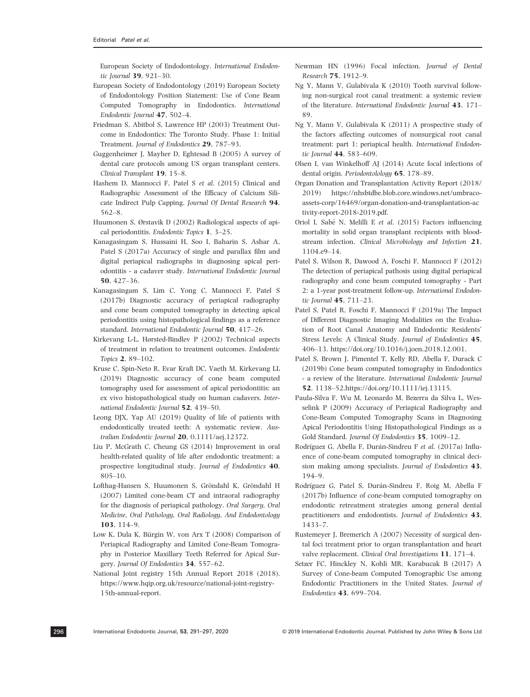European Society of Endodontology. International Endodontic Journal 39, 921–30.

- European Society of Endodontology (2019) European Society of Endodontology Position Statement: Use of Cone Beam Computed Tomography in Endodontics. International Endodontic Journal 47, 502–4.
- Friedman S, Abitbol S, Lawrence HP (2003) Treatment Outcome in Endodontics: The Toronto Study. Phase 1: Initial Treatment. Journal of Endodontics 29, 787–93.
- Guggenheimer J, Mayher D, Eghtesad B (2005) A survey of dental care protocols among US organ transplant centers. Clinical Transplant 19, 15–8.
- Hashem D, Mannocci F, Patel S et al. (2015) Clinical and Radiographic Assessment of the Efficacy of Calcium Silicate Indirect Pulp Capping. Journal Of Dental Research 94, 562–8.
- Huumonen S, Ørstavik D (2002) Radiological aspects of apical periodontitis. Endodontic Topics 1, 3-25.
- Kanagasingam S, Hussaini H, Soo I, Baharin S, Ashar A, Patel S (2017a) Accuracy of single and parallax film and digital periapical radiographs in diagnosing apical periodontitis - a cadaver study. International Endodontic Journal 50, 427–36.
- Kanagasingam S, Lim C, Yong C, Mannocci F, Patel S (2017b) Diagnostic accuracy of periapical radiography and cone beam computed tomography in detecting apical periodontitis using histopathological findings as a reference standard. International Endodontic Journal 50, 417-26.
- Kirkevang L-L, Hørsted-Bindlev P (2002) Technical aspects of treatment in relation to treatment outcomes. Endodontic Topics 2, 89–102.
- Kruse C, Spin-Neto R, Evar Kraft DC, Vaeth M, Kirkevang LL (2019) Diagnostic accuracy of cone beam computed tomography used for assessment of apical periodontitis: an ex vivo histopathological study on human cadavers. International Endodontic Journal 52, 439–50.
- Leong DJX, Yap AU (2019) Quality of life of patients with endodontically treated teeth: A systematic review. Australian Endodontic Journal 20,<0.1111/aej.12372>.
- Liu P, McGrath C, Cheung GS (2014) Improvement in oral health-related quality of life after endodontic treatment: a prospective longitudinal study. Journal of Endodontics 40, 805–10.
- Lofthag-Hansen S, Huumonen S, Gröndahl K, Gröndahl H (2007) Limited cone-beam CT and intraoral radiography for the diagnosis of periapical pathology. Oral Surgery, Oral Medicine, Oral Pathology, Oral Radiology, And Endodontology 103, 114–9.
- Low K, Dula K, Bürgin W, von Arx T  $(2008)$  Comparison of Periapical Radiography and Limited Cone-Beam Tomography in Posterior Maxillary Teeth Referred for Apical Surgery. Journal Of Endodontics 34, 557–62.
- National Joint registry 15th Annual Report 2018 (2018). [https://www.hqip.org.uk/resource/national-joint-registry-](https://www.hqip.org.uk/resource/national-joint-registry-15th-annual-report)[15th-annual-report.](https://www.hqip.org.uk/resource/national-joint-registry-15th-annual-report)
- Newman HN (1996) Focal infection. Journal of Dental Research 75, 1912–9.
- Ng Y, Mann V, Gulabivala K (2010) Tooth survival following non-surgical root canal treatment: a systemic review of the literature. International Endodontic Journal 43, 171– 89.
- Ng Y, Mann V, Gulabivala K (2011) A prospective study of the factors affecting outcomes of nonsurgical root canal treatment: part 1: periapical health. International Endodontic Journal 44, 583–609.
- Olsen I, van Winkelhoff AJ (2014) Acute focal infections of dental origin. Periodontolology 65, 178–89.
- Organ Donation and Transplantation Activity Report (2018/ 2019) [https://nhsbtdbe.blob.core.windows.net/umbraco](https://nhsbtdbe.blob.core.windows.net/umbraco-assets-corp/16469/organ-donation-and-transplantation-activity-report-2018-2019.pdf)[assets-corp/16469/organ-donation-and-transplantation-ac](https://nhsbtdbe.blob.core.windows.net/umbraco-assets-corp/16469/organ-donation-and-transplantation-activity-report-2018-2019.pdf) [tivity-report-2018-2019.pdf](https://nhsbtdbe.blob.core.windows.net/umbraco-assets-corp/16469/organ-donation-and-transplantation-activity-report-2018-2019.pdf).
- Oriol I, Sabe N, Melilli E et al. (2015) Factors influencing mortality in solid organ transplant recipients with bloodstream infection. Clinical Microbiology and Infection 21, 1104.e9–14.
- Patel S, Wilson R, Dawood A, Foschi F, Mannocci F (2012) The detection of periapical pathosis using digital periapical radiography and cone beam computed tomography - Part 2: a 1-year post-treatment follow-up. International Endodontic Journal 45, 711–23.
- Patel S, Patel R, Foschi F, Mannocci F (2019a) The Impact of Different Diagnostic Imaging Modalities on the Evaluation of Root Canal Anatomy and Endodontic Residents' Stress Levels: A Clinical Study. Journal of Endodontics 45, 406–13.<https://doi.org/10.1016/j.joen.2018.12.001>.
- Patel S, Brown J, Pimentel T, Kelly RD, Abella F, Durack C (2019b) Cone beam computed tomography in Endodontics - a review of the literature. International Endodontic Journal 52, 1138–52[.https://doi.org/10.1111/iej.13115.](https://doi.org/10.1111/iej.13115)
- Paula-Silva F, Wu M, Leonardo M, Bezerra da Silva L, Wesselink P (2009) Accuracy of Periapical Radiography and Cone-Beam Computed Tomography Scans in Diagnosing Apical Periodontitis Using Histopathological Findings as a Gold Standard. Journal Of Endodontics 35, 1009–12.
- Rodríguez G, Abella F, Durán-Sindreu F et al. (2017a) Influence of cone-beam computed tomography in clinical decision making among specialists. Journal of Endodontics 43, 194–9.
- Rodríguez G, Patel S, Durán-Sindreu F, Roig M, Abella F (2017b) Influence of cone-beam computed tomography on endodontic retreatment strategies among general dental practitioners and endodontists. Journal of Endodontics 43, 1433–7.
- Rustemeyer J, Bremerich A (2007) Necessity of surgical dental foci treatment prior to organ transplantation and heart valve replacement. Clinical Oral Investigations 11, 171–4.
- Setzer FC, Hinckley N, Kohli MR, Karabucak B (2017) A Survey of Cone-beam Computed Tomographic Use among Endodontic Practitioners in the United States. Journal of Endodontics 43, 699–704.